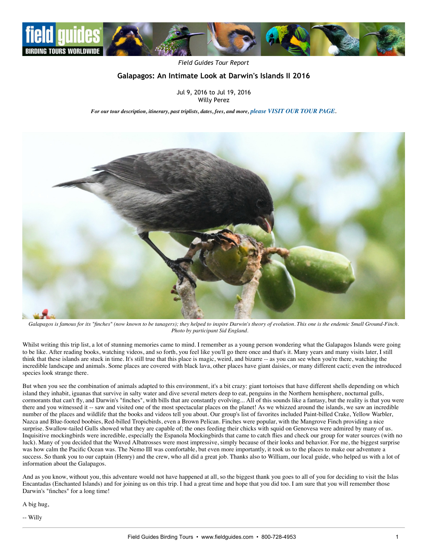

*Field Guides Tour Report*

## **Galapagos: An Intimate Look at Darwin's Islands II 2016**

Jul 9, 2016 to Jul 19, 2016 Willy Perez

*For our tour description, itinerary, past triplists, dates, fees, and more, [please VISIT OUR TOUR PAGE](http://www.fieldguides.com/bird-tours/ecuador-galapagos).*



*Galapagos is famous for its "finches" (now known to be tanagers); they helped to inspire Darwin's theory of evolution. This one is the endemic Small Ground-Finch. Photo by participant Sid England.*

Whilst writing this trip list, a lot of stunning memories came to mind. I remember as a young person wondering what the Galapagos Islands were going to be like. After reading books, watching videos, and so forth, you feel like you'll go there once and that's it. Many years and many visits later, I still think that these islands are stuck in time. It's still true that this place is magic, weird, and bizarre -- as you can see when you're there, watching the incredible landscape and animals. Some places are covered with black lava, other places have giant daisies, or many different cacti; even the introduced species look strange there.

But when you see the combination of animals adapted to this environment, it's a bit crazy: giant tortoises that have different shells depending on which island they inhabit, iguanas that survive in salty water and dive several meters deep to eat, penguins in the Northern hemisphere, nocturnal gulls, cormorants that can't fly, and Darwin's "finches", with bills that are constantly evolving... All of this sounds like a fantasy, but the reality is that you were there and you witnessed it -- saw and visited one of the most spectacular places on the planet! As we whizzed around the islands, we saw an incredible number of the places and wildlife that the books and videos tell you about. Our group's list of favorites included Paint-billed Crake, Yellow Warbler, Nazca and Blue-footed boobies, Red-billed Tropicbirds, even a Brown Pelican. Finches were popular, with the Mangrove Finch providing a nice surprise. Swallow-tailed Gulls showed what they are capable of; the ones feeding their chicks with squid on Genovesa were admired by many of us. Inquisitive mockingbirds were incredible, especially the Espanola Mockingbirds that came to catch flies and check our group for water sources (with no luck). Many of you decided that the Waved Albatrosses were most impressive, simply because of their looks and behavior. For me, the biggest surprise was how calm the Pacific Ocean was. The Nemo III was comfortable, but even more importantly, it took us to the places to make our adventure a success. So thank you to our captain (Henry) and the crew, who all did a great job. Thanks also to William, our local guide, who helped us with a lot of information about the Galapagos.

And as you know, without you, this adventure would not have happened at all, so the biggest thank you goes to all of you for deciding to visit the Islas Encantadas (Enchanted Islands) and for joining us on this trip. I had a great time and hope that you did too. I am sure that you will remember those Darwin's "finches" for a long time!

A big hug,

-- Willy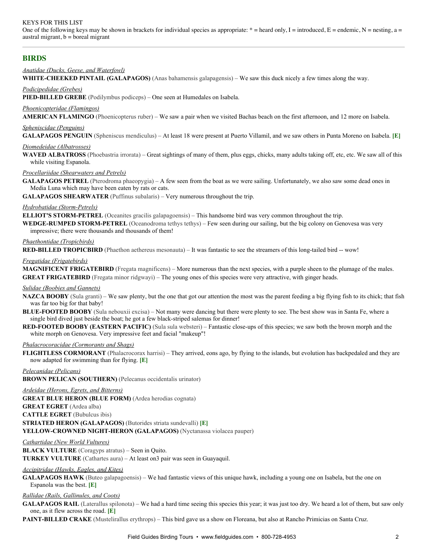## KEYS FOR THIS LIST

One of the following keys may be shown in brackets for individual species as appropriate:  $* =$  heard only, I = introduced, E = endemic, N = nesting, a = austral migrant,  $b =$  boreal migrant

## **BIRDS**

### *Anatidae (Ducks, Geese, and Waterfowl)*

**WHITE-CHEEKED PINTAIL (GALAPAGOS)** (Anas bahamensis galapagensis) – We saw this duck nicely a few times along the way.

### *Podicipedidae (Grebes)*

**PIED-BILLED GREBE** (Podilymbus podiceps) – One seen at Humedales on Isabela.

## *Phoenicopteridae (Flamingos)*

**AMERICAN FLAMINGO** (Phoenicopterus ruber) – We saw a pair when we visited Bachas beach on the first afternoon, and 12 more on Isabela.

### *Spheniscidae (Penguins)*

**GALAPAGOS PENGUIN** (Spheniscus mendiculus) – At least 18 were present at Puerto Villamil, and we saw others in Punta Moreno on Isabela. **[E]**

### *Diomedeidae (Albatrosses)*

**WAVED ALBATROSS** (Phoebastria irrorata) – Great sightings of many of them, plus eggs, chicks, many adults taking off, etc, etc. We saw all of this while visiting Espanola.

### *Procellariidae (Shearwaters and Petrels)*

**GALAPAGOS PETREL** (Pterodroma phaeopygia) – A few seen from the boat as we were sailing. Unfortunately, we also saw some dead ones in Media Luna which may have been eaten by rats or cats.

**GALAPAGOS SHEARWATER** (Puffinus subalaris) – Very numerous throughout the trip.

## **Hydrobatidae** (Storm-Petrels)

**ELLIOT'S STORM-PETREL** (Oceanites gracilis galapagoensis) – This handsome bird was very common throughout the trip.

**WEDGE-RUMPED STORM-PETREL** (Oceanodroma tethys tethys) – Few seen during our sailing, but the big colony on Genovesa was very impressive; there were thousands and thousands of them!

### *Phaethontidae (Tropicbirds)*

**RED-BILLED TROPICBIRD** (Phaethon aethereus mesonauta) – It was fantastic to see the streamers of this long-tailed bird -- wow!

### *Fregatidae (Frigatebirds)*

**MAGNIFICENT FRIGATEBIRD** (Fregata magnificens) – More numerous than the next species, with a purple sheen to the plumage of the males. **GREAT FRIGATEBIRD** (Fregata minor ridgwayi) – The young ones of this species were very attractive, with ginger heads.

### *Sulidae (Boobies and Gannets)*

**NAZCA BOOBY** (Sula granti) – We saw plenty, but the one that got our attention the most was the parent feeding a big flying fish to its chick; that fish was far too big for that baby!

- **BLUE-FOOTED BOOBY** (Sula nebouxii excisa) Not many were dancing but there were plenty to see. The best show was in Santa Fe, where a single bird dived just beside the boat; he got a few black-striped salemas for dinner!
- **RED-FOOTED BOOBY (EASTERN PACIFIC)** (Sula sula websteri) Fantastic close-ups of this species; we saw both the brown morph and the white morph on Genovesa. Very impressive feet and facial "makeup"!

### *Phalacrocoracidae (Cormorants and Shags)*

**FLIGHTLESS CORMORANT** (Phalacrocorax harrisi) – They arrived, eons ago, by flying to the islands, but evolution has backpedaled and they are now adapted for swimming than for flying. **[E]**

## *Pelecanidae (Pelicans)* **BROWN PELICAN (SOUTHERN)** (Pelecanus occidentalis urinator)

# *Ardeidae (Herons, Egrets, and Bitterns)*

**GREAT BLUE HERON (BLUE FORM)** (Ardea herodias cognata)

**GREAT EGRET** (Ardea alba)

**CATTLE EGRET** (Bubulcus ibis)

### **STRIATED HERON (GALAPAGOS)** (Butorides striata sundevalli) **[E]**

**YELLOW-CROWNED NIGHT-HERON (GALAPAGOS)** (Nyctanassa violacea pauper)

## *Cathartidae (New World Vultures)*

**BLACK VULTURE** (Coragyps atratus) – Seen in Quito. **TURKEY VULTURE** (Cathartes aura) – At least on3 pair was seen in Guayaquil.

### *Accipitridae (Hawks, Eagles, and Kites)*

**GALAPAGOS HAWK** (Buteo galapagoensis) – We had fantastic views of this unique hawk, including a young one on Isabela, but the one on Espanola was the best. **[E]**

### *Rallidae (Rails, Gallinules, and Coots)*

GALAPAGOS RAIL (Laterallus spilonota) – We had a hard time seeing this species this year; it was just too dry. We heard a lot of them, but saw only one, as it flew across the road. **[E]**

**PAINT-BILLED CRAKE** (Mustelirallus erythrops) – This bird gave us a show on Floreana, but also at Rancho Primicias on Santa Cruz.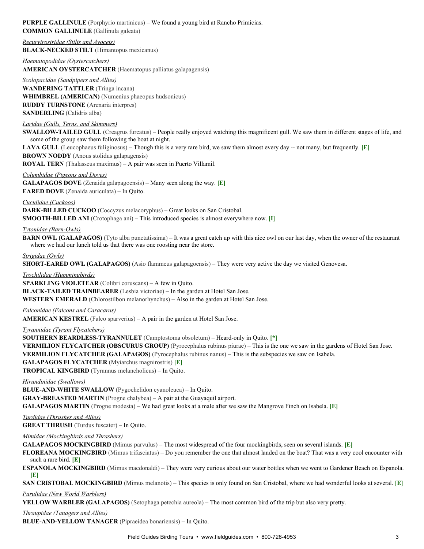## **PURPLE GALLINULE** (Porphyrio martinicus) – We found a young bird at Rancho Primicias. **COMMON GALLINULE** (Gallinula galeata)

*Recurvirostridae (Stilts and Avocets)* **BLACK-NECKED STILT** (Himantopus mexicanus)

*Haematopodidae (Oystercatchers)* **AMERICAN OYSTERCATCHER** (Haematopus palliatus galapagensis)

*Scolopacidae (Sandpipers and Allies)* **WANDERING TATTLER** (Tringa incana) **WHIMBREL (AMERICAN)** (Numenius phaeopus hudsonicus) **RUDDY TURNSTONE** (Arenaria interpres) **SANDERLING** (Calidris alba)

## *Laridae (Gulls, Terns, and Skimmers)*

**SWALLOW-TAILED GULL** (Creagrus furcatus) – People really enjoyed watching this magnificent gull. We saw them in different stages of life, and some of the group saw them following the boat at night.

**LAVA GULL** (Leucophaeus fuliginosus) – Though this is a very rare bird, we saw them almost every day -- not many, but frequently. **[E] BROWN NODDY** (Anous stolidus galapagensis)

**ROYAL TERN** (Thalasseus maximus) – A pair was seen in Puerto Villamil.

*Columbidae (Pigeons and Doves)*

**GALAPAGOS DOVE** (Zenaida galapagoensis) – Many seen along the way. **[E]**

**EARED DOVE** (Zenaida auriculata) – In Quito.

*Cuculidae (Cuckoos)*

**DARK-BILLED CUCKOO** (Coccyzus melacoryphus) – Great looks on San Cristobal. **SMOOTH-BILLED ANI** (Crotophaga ani) – This introduced species is almost everywhere now. [I]

## *<u>Tytonidae (Barn-Owls)</u>*

**BARN OWL (GALAPAGOS)** (Tyto alba punctatissima) – It was a great catch up with this nice owl on our last day, when the owner of the restaurant where we had our lunch told us that there was one roosting near the store.

## *Strigidae (Owls)*

**SHORT-EARED OWL (GALAPAGOS)** (Asio flammeus galapagoensis) – They were very active the day we visited Genovesa.

*Trochilidae (Hummingbirds)*

**SPARKLING VIOLETEAR** (Colibri coruscans) – A few in Quito.

**BLACKTAILED TRAINBEARER** (Lesbia victoriae) – In the garden at Hotel San Jose.

**WESTERN EMERALD** (Chlorostilbon melanorhynchus) – Also in the garden at Hotel San Jose.

## *Falconidae (Falcons and Caracaras)*

**AMERICAN KESTREL** (Falco sparverius) – A pair in the garden at Hotel San Jose.

## *Tyrannidae (Tyrant Flycatchers)*

**SOUTHERN BEARDLESS-TYRANNULET** (Camptostoma obsoletum) – Heard-only in Quito. [\*] **VERMILION FLYCATCHER (OBSCURUS GROUP)** (Pyrocephalus rubinus piurae) – This is the one we saw in the gardens of Hotel San Jose. **VERMILION FLYCATCHER (GALAPAGOS)** (Pyrocephalus rubinus nanus) – This is the subspecies we saw on Isabela. **GALAPAGOS FLYCATCHER** (Myiarchus magnirostris) **[E] TROPICAL KINGBIRD** (Tyrannus melancholicus) – In Quito.

*Hirundinidae (Swallows)*

**BLUE-AND-WHITE SWALLOW** (Pygochelidon cyanoleuca) – In Quito. **GRAY-BREASTED MARTIN** (Progne chalybea) – A pair at the Guayaquil airport. **GALAPAGOS MARTIN** (Progne modesta) – We had great looks at a male after we saw the Mangrove Finch on Isabela. **[E]**

*Turdidae (Thrushes and Allies)*

**GREAT THRUSH** (Turdus fuscater) – In Quito.

*Mimidae (Mockingbirds and Thrashers)*

**GALAPAGOS MOCKINGBIRD** (Mimus parvulus) – The most widespread of the four mockingbirds, seen on several islands. **[E]**

**FLOREANA MOCKINGBIRD** (Mimus trifasciatus) – Do you remember the one that almost landed on the boat? That was a very cool encounter with such a rare bird. **[E]**

**ESPANOLA MOCKINGBIRD** (Mimus macdonaldi) – They were very curious about our water bottles when we went to Gardener Beach on Espanola. **[E]**

**SAN CRISTOBAL MOCKINGBIRD** (Mimus melanotis) – This species is only found on San Cristobal, where we had wonderful looks at several. **[E]**

*Parulidae (New World Warblers)*

**YELLOW WARBLER (GALAPAGOS)** (Setophaga petechia aureola) – The most common bird of the trip but also very pretty.

*Thraupidae (Tanagers and Allies)* **BLUE-AND-YELLOW TANAGER** (Pipraeidea bonariensis) – In Quito.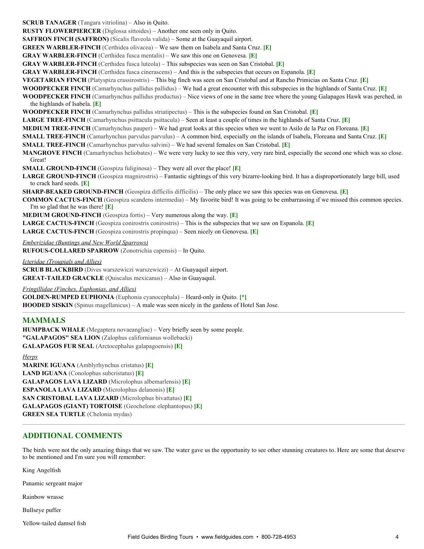**SCRUB TANAGER** (Tangara vitriolina) – Also in Quito.

**RUSTY FLOWERPIERCER** (Diglossa sittoides) – Another one seen only in Quito.

**SAFFRON FINCH (SAFFRON)** (Sicalis flaveola valida) – Some at the Guayaquil airport.

**GREEN WARBLER-FINCH** (Certhidea olivacea) – We saw them on Isabela and Santa Cruz. [E]

**GRAY WARBLERFINCH** (Certhidea fusca mentalis) – We saw this one on Genovesa. **[E]**

**GRAY WARBLERFINCH** (Certhidea fusca luteola) – This subspecies was seen on San Cristobal. **[E]**

**GRAY WARBLERFINCH** (Certhidea fusca cinerascens) – And this is the subspecies that occurs on Espanola. **[E]**

**VEGETARIAN FINCH** (Platyspiza crassirostris) – This big finch was seen on San Cristobal and at Rancho Primicias on Santa Cruz. **[E]**

**WOODPECKER FINCH** (Camarhynchus pallidus pallidus) – We had a great encounter with this subspecies in the highlands of Santa Cruz. **[E]**

**WOODPECKER FINCH** (Camarhynchus pallidus productus) – Nice views of one in the same tree where the young Galapagos Hawk was perched, in the highlands of Isabela. **[E]**

**WOODPECKER FINCH** (Camarhynchus pallidus striatipectus) – This is the subspecies found on San Cristobal. **[E]**

**LARGE TREEFINCH** (Camarhynchus psittacula psittacula) – Seen at least a couple of times in the highlands of Santa Cruz. **[E]**

**MEDIUM TREEFINCH** (Camarhynchus pauper) – We had great looks at this species when we went to Asilo de la Paz on Floreana. **[E]**

**SMALL TREE-FINCH** (Camarhynchus parvulus parvulus) – A common bird, especially on the islands of Isabela, Floreana and Santa Cruz. [E]

**SMALL TREE-FINCH** (Camarhynchus parvulus salvini) – We had several females on San Cristobal. [E]

**MANGROVE FINCH** (Camarhynchus heliobates) – We were very lucky to see this very, very rare bird, especially the second one which was so close. Great!

**SMALL GROUND-FINCH** (Geospiza fuliginosa) – They were all over the place! [E]

**LARGE GROUND-FINCH** (Geospiza magnirostris) – Fantastic sightings of this very bizarre-looking bird. It has a disproportionately large bill, used to crack hard seeds. **[E]**

**SHARP-BEAKED GROUND-FINCH** (Geospiza difficilis difficilis) – The only place we saw this species was on Genovesa. [E]

**COMMON CACTUS-FINCH** (Geospiza scandens intermedia) – My favorite bird! It was going to be embarrassing if we missed this common species. I'm so glad that he was there! **[E]**

**MEDIUM GROUND-FINCH** (Geospiza fortis) – Very numerous along the way. **[E]** 

**LARGE CACTUS-FINCH** (Geospiza conirostris conirostris) – This is the subspecies that we saw on Espanola. [E]

**LARGE CACTUSFINCH** (Geospiza conirostris propinqua) – Seen nicely on Genovesa. **[E]**

*Emberizidae (Buntings and New World Sparrows)* **RUFOUS-COLLARED SPARROW** (Zonotrichia capensis) – In Quito.

*Icteridae (Troupials and Allies)* **SCRUB BLACKBIRD** (Dives warszewiczi warszewiczi) – At Guayaquil airport. **GREAT-TAILED GRACKLE** (Quiscalus mexicanus) - Also in Guayaquil.

*Fringillidae (Finches, Euphonias, and Allies)*

**GOLDEN-RUMPED EUPHONIA** (Euphonia cyanocephala) – Heard-only in Quito. [\*] **HOODED SISKIN** (Spinus magellanicus) – A male was seen nicely in the gardens of Hotel San Jose.

# **MAMMALS**

**HUMPBACK WHALE** (Megaptera novaeangliae) – Very briefly seen by some people. **"GALAPAGOS" SEA LION** (Zalophus californianus wollebacki) **GALAPAGOS FUR SEAL** (Arctocephalus galapagoensis) **[E]**

*Herps* **MARINE IGUANA** (Amblyrhynchus cristatus) **[E] LAND IGUANA** (Conolophus subcristatus) **[E] GALAPAGOS LAVA LIZARD** (Microlophus albemarlensis) **[E] ESPANOLA LAVA LIZARD** (Microlophus delanonis) **[E] SAN CRISTOBAL LAVA LIZARD** (Microlophus bivattatus) **[E] GALAPAGOS (GIANT) TORTOISE** (Geochelone elephantopus) **[E] GREEN SEA TURTLE** (Chelonia mydas)

# **ADDITIONAL COMMENTS**

The birds were not the only amazing things that we saw. The water gave us the opportunity to see other stunning creatures to. Here are some that deserve to be mentioned and I'm sure you will remember:

King Angelfish

Panamic sergeant major

Rainbow wrasse

Bullseye puffer

Yellow-tailed damsel fish